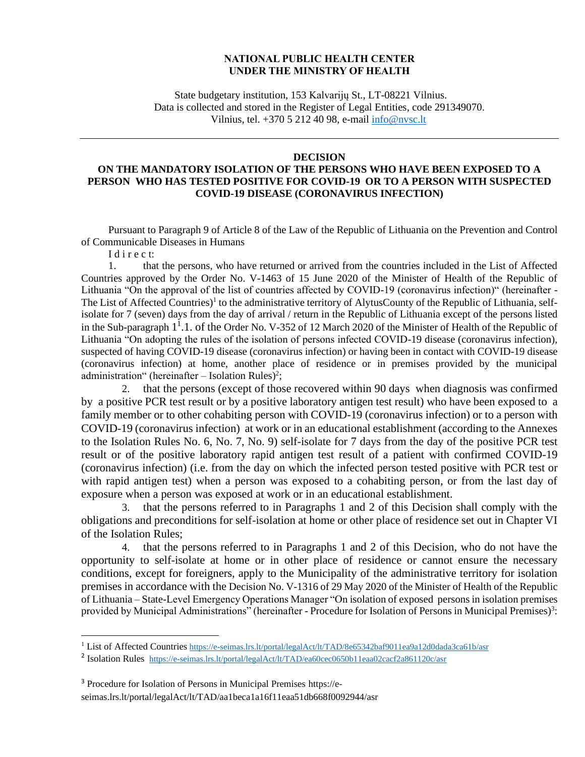## **NATIONAL PUBLIC HEALTH CENTER UNDER THE MINISTRY OF HEALTH**

State budgetary institution, 153 Kalvarijų St., LT-08221 Vilnius. Data is collected and stored in the Register of Legal Entities, code 291349070. Vilnius, tel. +370 5 212 40 98, e-mail [info@nvsc.lt](mailto:info@nvsc.lt)

## **DECISION**

## **ON THE MANDATORY ISOLATION OF THE PERSONS WHO HAVE BEEN EXPOSED TO A PERSON WHO HAS TESTED POSITIVE FOR COVID-19 OR TO A PERSON WITH SUSPECTED COVID-19 DISEASE (CORONAVIRUS INFECTION)**

Pursuant to Paragraph 9 of Article 8 of the Law of the Republic of Lithuania on the Prevention and Control of Communicable Diseases in Humans

I d i r e c t:

1. that the persons, who have returned or arrived from the countries included in the List of Affected Countries approved by the Order No. V-1463 of 15 June 2020 of the Minister of Health of the Republic of Lithuania "On the approval of the list of countries affected by COVID-19 (coronavirus infection)" (hereinafter - The List of Affected Countries)<sup>1</sup> to the administrative territory of AlytusCounty of the Republic of Lithuania, selfisolate for 7 (seven) days from the day of arrival / return in the Republic of Lithuania except of the persons listed in the Sub-paragraph  $1^1.1$ . of the Order No. V-352 of 12 March 2020 of the Minister of Health of the Republic of Lithuania "On adopting the rules of the isolation of persons infected COVID-19 disease (coronavirus infection), suspected of having COVID-19 disease (coronavirus infection) or having been in contact with COVID-19 disease (coronavirus infection) at home, another place of residence or in premises provided by the municipal administration" (hereinafter  $-$  Isolation Rules)<sup>2</sup>;

2. that the persons (except of those recovered within 90 days when diagnosis was confirmed by a positive PCR test result or by a positive laboratory antigen test result) who have been exposed to a family member or to other cohabiting person with COVID-19 (coronavirus infection) or to a person with COVID-19 (coronavirus infection) at work or in an educational establishment (according to the Annexes to the Isolation Rules No. 6, No. 7, No. 9) self-isolate for 7 days from the day of the positive PCR test result or of the positive laboratory rapid antigen test result of a patient with confirmed COVID-19 (coronavirus infection) (i.e. from the day on which the infected person tested positive with PCR test or with rapid antigen test) when a person was exposed to a cohabiting person, or from the last day of exposure when a person was exposed at work or in an educational establishment.

3. that the persons referred to in Paragraphs 1 and 2 of this Decision shall comply with the obligations and preconditions for self-isolation at home or other place of residence set out in Chapter VI of the Isolation Rules;

4. that the persons referred to in Paragraphs 1 and 2 of this Decision, who do not have the opportunity to self-isolate at home or in other place of residence or cannot ensure the necessary conditions, except for foreigners, apply to the Municipality of the administrative territory for isolation premises in accordance with the Decision No. V-1316 of 29 May 2020 of the Minister of Health of the Republic of Lithuania – State-Level Emergency Operations Manager "On isolation of exposed persons in isolation premises provided by Municipal Administrations" (hereinafter - Procedure for Isolation of Persons in Municipal Premises)<sup>3</sup>:

<sup>&</sup>lt;sup>1</sup> List of Affected Countries <https://e-seimas.lrs.lt/portal/legalAct/lt/TAD/8e65342baf9011ea9a12d0dada3ca61b/asr>

<sup>&</sup>lt;sup>2</sup> Isolation Rules <https://e-seimas.lrs.lt/portal/legalAct/lt/TAD/ea60cec0650b11eaa02cacf2a861120c/asr>

<sup>3</sup> Procedure for Isolation of Persons in Municipal Premises https://eseimas.lrs.lt/portal/legalAct/lt/TAD/aa1beca1a16f11eaa51db668f0092944/asr